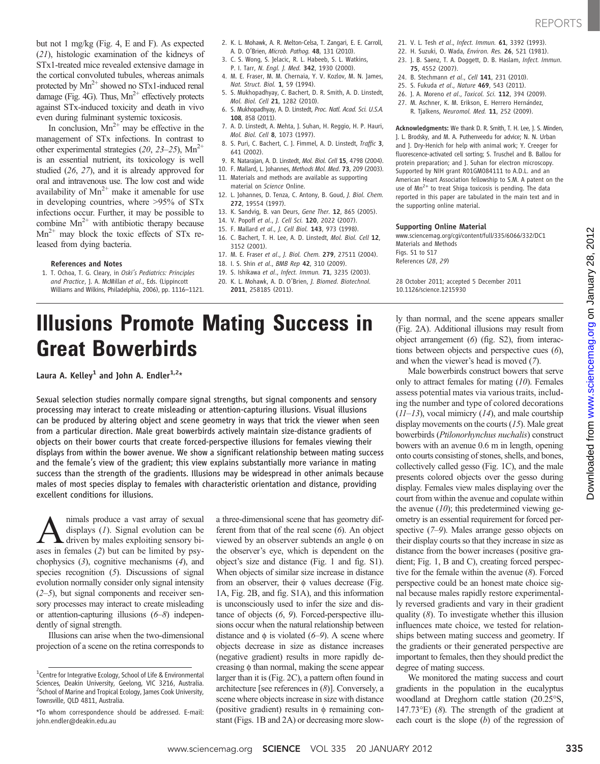but not 1 mg/kg (Fig. 4, E and F). As expected (21), histologic examination of the kidneys of STx1-treated mice revealed extensive damage in the cortical convoluted tubules, whereas animals

protected by  $Mn^{2+}$  showed no STx1-induced renal damage (Fig. 4G). Thus,  $Mn^{2+}$  effectively protects against STx-induced toxicity and death in vivo even during fulminant systemic toxicosis.

In conclusion,  $Mn^{2+}$  may be effective in the management of STx infections. In contrast to other experimental strategies  $(20, 23-25)$ , Mn<sup>2+</sup> is an essential nutrient, its toxicology is well studied (26, 27), and it is already approved for oral and intravenous use. The low cost and wide availability of  $Mn^{2+}$  make it amenable for use in developing countries, where >95% of STx infections occur. Further, it may be possible to combine  $Mn^{2+}$  with antibiotic therapy because  $Mn^{2+}$  may block the toxic effects of STx released from dying bacteria.

### References and Notes

1. T. Ochoa, T. G. Cleary, in Oski*'*s Pediatrics: Principles and Practice, J. A. McMillan et al., Eds. (Lippincott Williams and Wilkins, Philadelphia, 2006), pp. 1116–1121.

- 2. K. L. Mohawk, A. R. Melton-Celsa, T. Zangari, E. E. Carroll, A. D. O'Brien, Microb. Pathog. 48, 131 (2010).
- 3. C. S. Wong, S. Jelacic, R. L. Habeeb, S. L. Watkins,
- P. I. Tarr, N. Engl. J. Med. 342, 1930 (2000).
- 4. M. E. Fraser, M. M. Chernaia, Y. V. Kozlov, M. N. James, Nat. Struct. Biol. 1, 59 (1994).
- 5. S. Mukhopadhyay, C. Bachert, D. R. Smith, A. D. Linstedt, Mol. Biol. Cell 21, 1282 (2010).
- 6. S. Mukhopadhyay, A. D. Linstedt, Proc. Natl. Acad. Sci. U.S.A. 108, 858 (2011).
- 7. A. D. Linstedt, A. Mehta, J. Suhan, H. Reggio, H. P. Hauri, Mol. Biol. Cell 8, 1073 (1997).
- 8. S. Puri, C. Bachert, C. J. Fimmel, A. D. Linstedt, Traffic 3, 641 (2002).
- 9. R. Natarajan, A. D. Linstedt, Mol. Biol. Cell 15, 4798 (2004).
- 10. F. Mallard, L. Johannes, Methods Mol. Med. 73, 209 (2003). 11. Materials and methods are available as supporting
- material on Science Online.
- 12. L. Johannes, D. Tenza, C. Antony, B. Goud, J. Biol. Chem. 272, 19554 (1997).
- 13. K. Sandvig, B. van Deurs, Gene Ther. 12, 865 (2005).
- 14. V. Popoff et al., J. Cell Sci. 120, 2022 (2007).
- 15. F. Mallard et al., J. Cell Biol. 143, 973 (1998).
- 16. C. Bachert, T. H. Lee, A. D. Linstedt, Mol. Biol. Cell 12, 3152 (2001).
- 17. M. E. Fraser et al., J. Biol. Chem. 279, 27511 (2004).
- 18. I. S. Shin et al., BMB Rep 42, 310 (2009).
- 19. S. Ishikawa et al., Infect. Immun. 71, 3235 (2003).
- 20. K. L. Mohawk, A. D. O'Brien, J. Biomed. Biotechnol. 2011, 258185 (2011).

# Illusions Promote Mating Success in Great Bowerbirds

Laura A. Kelley<sup>1</sup> and John A. Endler<sup>1,2\*</sup>

Sexual selection studies normally compare signal strengths, but signal components and sensory processing may interact to create misleading or attention-capturing illusions. Visual illusions can be produced by altering object and scene geometry in ways that trick the viewer when seen from a particular direction. Male great bowerbirds actively maintain size-distance gradients of objects on their bower courts that create forced-perspective illusions for females viewing their displays from within the bower avenue. We show a significant relationship between mating success and the female's view of the gradient; this view explains substantially more variance in mating success than the strength of the gradients. Illusions may be widespread in other animals because males of most species display to females with characteristic orientation and distance, providing excellent conditions for illusions.

 $\sum$  nimals produce a vast array of sexual displays (*1*). Signal evolution can be driven by males exploiting sensory bidisplays  $(1)$ . Signal evolution can be ases in females (2) but can be limited by psychophysics (3), cognitive mechanisms (4), and species recognition (5). Discussions of signal evolution normally consider only signal intensity  $(2-5)$ , but signal components and receiver sensory processes may interact to create misleading or attention-capturing illusions (6–8) independently of signal strength.

Illusions can arise when the two-dimensional projection of a scene on the retina corresponds to a three-dimensional scene that has geometry different from that of the real scene (6). An object viewed by an observer subtends an angle  $\phi$  on the observer's eye, which is dependent on the object's size and distance (Fig. 1 and fig. S1). When objects of similar size increase in distance from an observer, their  $\phi$  values decrease (Fig. 1A, Fig. 2B, and fig. S1A), and this information is unconsciously used to infer the size and distance of objects (6, 9). Forced-perspective illusions occur when the natural relationship between distance and  $\phi$  is violated (6–9). A scene where objects decrease in size as distance increases (negative gradient) results in more rapidly decreasing  $\phi$  than normal, making the scene appear larger than it is (Fig. 2C), a pattern often found in architecture [see references in (8)]. Conversely, a scene where objects increase in size with distance (positive gradient) results in  $\phi$  remaining constant (Figs. 1B and 2A) or decreasing more slow-

- 21. V. L. Tesh et al., Infect. Immun. 61, 3392 (1993).
- 22. H. Suzuki, O. Wada, Environ. Res. 26, 521 (1981). 23. J. B. Saenz, T. A. Doggett, D. B. Haslam, Infect. Immun.
- 75, 4552 (2007).
- 24. B. Stechmann et al., Cell 141, 231 (2010).
- 25. S. Fukuda et al., Nature 469, 543 (2011). 26. J. A. Moreno et al., Toxicol. Sci. 112, 394 (2009).
- 27. M. Aschner, K. M. Erikson, E. Herrero Hernández,
- R. Tjalkens, Neuromol. Med. 11, 252 (2009).

Acknowledgments: We thank D. R. Smith, T. H. Lee, J. S. Minden, J. L. Brodsky, and M. A. Puthenveedu for advice; N. N. Urban and J. Dry-Henich for help with animal work; Y. Creeger for fluorescence-activated cell sorting; S. Truschel and B. Ballou for protein preparation; and J. Suhan for electron microscopy. Supported by NIH grant R01GM084111 to A.D.L. and an American Heart Association fellowship to S.M. A patent on the use of  $Mn^{2+}$  to treat Shiga toxicosis is pending. The data reported in this paper are tabulated in the main text and in the supporting online material.

## Supporting Online Material

www.sciencemag.org/cgi/content/full/335/6066/332/DC1 Materials and Methods Figs. S1 to S17 References (28, 29)

28 October 2011; accepted 5 December 2011 10.1126/science.1215930

ly than normal, and the scene appears smaller (Fig. 2A). Additional illusions may result from object arrangement (6) (fig. S2), from interactions between objects and perspective cues (6), and when the viewer's head is moved (7).

Male bowerbirds construct bowers that serve only to attract females for mating  $(10)$ . Females assess potential mates via various traits, including the number and type of colored decorations  $(11-13)$ , vocal mimicry  $(14)$ , and male courtship display movements on the courts  $(15)$ . Male great bowerbirds (Ptilonorhynchus nuchalis) construct bowers with an avenue 0.6 m in length, opening onto courts consisting of stones, shells, and bones, collectively called gesso (Fig. 1C), and the male presents colored objects over the gesso during display. Females view males displaying over the court from within the avenue and copulate within the avenue  $(10)$ ; this predetermined viewing geometry is an essential requirement for forced perspective (7–9). Males arrange gesso objects on their display courts so that they increase in size as distance from the bower increases (positive gradient; Fig. 1, B and C), creating forced perspective for the female within the avenue (8). Forced perspective could be an honest mate choice signal because males rapidly restore experimentally reversed gradients and vary in their gradient quality (8). To investigate whether this illusion influences mate choice, we tested for relationships between mating success and geometry. If the gradients or their generated perspective are important to females, then they should predict the degree of mating success.

We monitored the mating success and court gradients in the population in the eucalyptus woodland at Dreghorn cattle station (20.25°S, 147.73°E) (8). The strength of the gradient at each court is the slope  $(b)$  of the regression of

<sup>&</sup>lt;sup>1</sup> Centre for Integrative Ecology, School of Life & Environmental Sciences, Deakin University, Geelong, VIC 3216, Australia. <sup>2</sup> School of Marine and Tropical Ecology, James Cook University, Townsville, QLD 4811, Australia.

<sup>\*</sup>To whom correspondence should be addressed. E-mail: john.endler@deakin.edu.au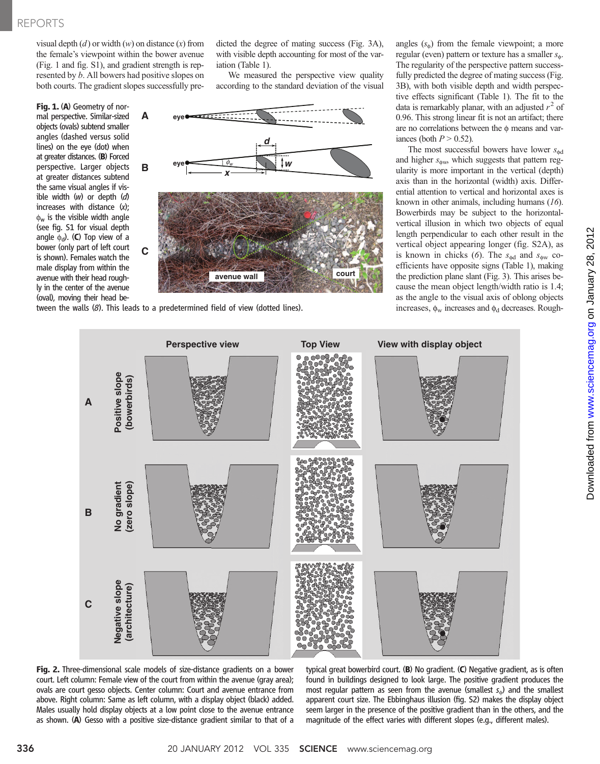visual depth  $(d)$  or width  $(w)$  on distance  $(x)$  from the female's viewpoint within the bower avenue (Fig. 1 and fig. S1), and gradient strength is represented by b. All bowers had positive slopes on both courts. The gradient slopes successfully pre-

**A eye**

**C**

Fig. 1. (A) Geometry of normal perspective. Similar-sized objects (ovals) subtend smaller angles (dashed versus solid lines) on the eye (dot) when at greater distances. (B) Forced perspective. Larger objects at greater distances subtend the same visual angles if visible width  $(w)$  or depth  $(d)$ increases with distance (x);  $\phi_w$  is the visible width angle (see fig. S1 for visual depth angle  $\phi_d$ ). (C) Top view of a bower (only part of left court is shown). Females watch the male display from within the avenue with their head roughly in the center of the avenue (oval), moving their head be-



iation (Table 1).

dicted the degree of mating success (Fig. 3A), with visible depth accounting for most of the var-

We measured the perspective view quality according to the standard deviation of the visual

tween the walls (8). This leads to a predetermined field of view (dotted lines).

angles  $(s_0)$  from the female viewpoint; a more regular (even) pattern or texture has a smaller  $s_{\phi}$ . The regularity of the perspective pattern successfully predicted the degree of mating success (Fig. 3B), with both visible depth and width perspective effects significant (Table 1). The fit to the data is remarkably planar, with an adjusted  $r^2$  of 0.96. This strong linear fit is not an artifact; there are no correlations between the  $\phi$  means and variances (both  $P > 0.52$ ).

The most successful bowers have lower  $s_{\text{dd}}$ and higher  $s_{\text{dw}}$ , which suggests that pattern regularity is more important in the vertical (depth) axis than in the horizontal (width) axis. Differential attention to vertical and horizontal axes is known in other animals, including humans (16). Bowerbirds may be subject to the horizontalvertical illusion in which two objects of equal length perpendicular to each other result in the vertical object appearing longer (fig. S2A), as is known in chicks (6). The  $s_{\text{dd}}$  and  $s_{\text{dw}}$  coefficients have opposite signs (Table 1), making the prediction plane slant (Fig. 3). This arises because the mean object length/width ratio is 1.4; as the angle to the visual axis of oblong objects increases,  $\phi_w$  increases and  $\phi_d$  decreases. Rough-



Fig. 2. Three-dimensional scale models of size-distance gradients on a bower court. Left column: Female view of the court from within the avenue (gray area); ovals are court gesso objects. Center column: Court and avenue entrance from above. Right column: Same as left column, with a display object (black) added. Males usually hold display objects at a low point close to the avenue entrance as shown. (A) Gesso with a positive size-distance gradient similar to that of a

typical great bowerbird court. (B) No gradient. (C) Negative gradient, as is often found in buildings designed to look large. The positive gradient produces the most regular pattern as seen from the avenue (smallest  $s_{\phi}$ ) and the smallest apparent court size. The Ebbinghaus illusion (fig. S2) makes the display object seem larger in the presence of the positive gradient than in the others, and the magnitude of the effect varies with different slopes (e.g., different males).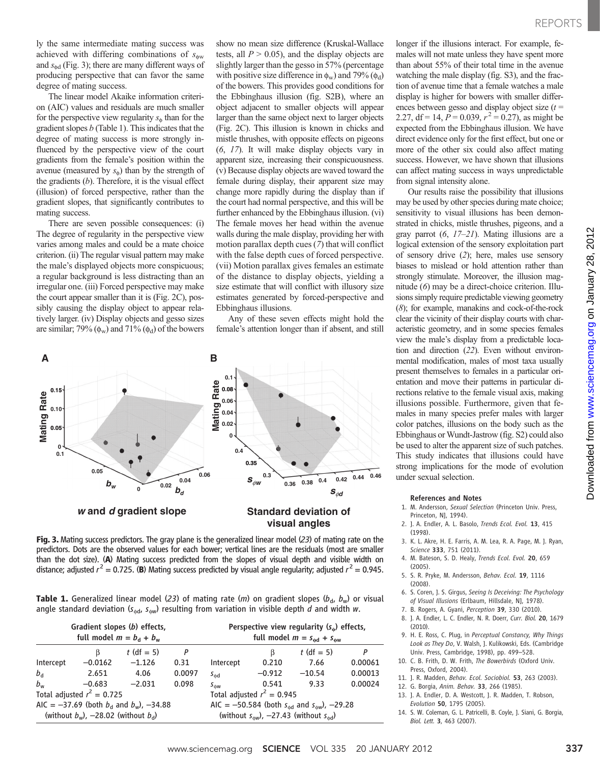ly the same intermediate mating success was achieved with differing combinations of  $s_{\text{dw}}$ and  $s_{\text{dd}}$  (Fig. 3); there are many different ways of producing perspective that can favor the same degree of mating success.

The linear model Akaike information criterion (AIC) values and residuals are much smaller for the perspective view regularity  $s_{\phi}$  than for the gradient slopes  $b$  (Table 1). This indicates that the degree of mating success is more strongly influenced by the perspective view of the court gradients from the female's position within the avenue (measured by  $s_0$ ) than by the strength of the gradients  $(b)$ . Therefore, it is the visual effect (illusion) of forced perspective, rather than the gradient slopes, that significantly contributes to mating success.

There are seven possible consequences: (i) The degree of regularity in the perspective view varies among males and could be a mate choice criterion. (ii) The regular visual pattern may make the male's displayed objects more conspicuous; a regular background is less distracting than an irregular one. (iii) Forced perspective may make the court appear smaller than it is (Fig. 2C), possibly causing the display object to appear relatively larger. (iv) Display objects and gesso sizes are similar; 79%  $(\phi_w)$  and 71%  $(\phi_d)$  of the bowers

show no mean size difference (Kruskal-Wallace tests, all  $P > 0.05$ ), and the display objects are slightly larger than the gesso in 57% (percentage with positive size difference in  $\phi_w$ ) and 79% ( $\phi_d$ ) of the bowers. This provides good conditions for the Ebbinghaus illusion (fig. S2B), where an object adjacent to smaller objects will appear larger than the same object next to larger objects (Fig. 2C). This illusion is known in chicks and mistle thrushes, with opposite effects on pigeons (6, 17). It will make display objects vary in apparent size, increasing their conspicuousness. (v) Because display objects are waved toward the female during display, their apparent size may change more rapidly during the display than if the court had normal perspective, and this will be further enhanced by the Ebbinghaus illusion. (vi) The female moves her head within the avenue walls during the male display, providing her with motion parallax depth cues (7) that will conflict with the false depth cues of forced perspective. (vii) Motion parallax gives females an estimate of the distance to display objects, yielding a size estimate that will conflict with illusory size estimates generated by forced-perspective and Ebbinghaus illusions.

Any of these seven effects might hold the female's attention longer than if absent, and still



Fig. 3. Mating success predictors. The gray plane is the generalized linear model (23) of mating rate on the predictors. Dots are the observed values for each bower; vertical lines are the residuals (most are smaller than the dot size). (A) Mating success predicted from the slopes of visual depth and visible width on distance; adjusted  $r^2 = 0.725$ . (B) Mating success predicted by visual angle regularity; adjusted  $r^2 = 0.945$ .

**Table 1.** Generalized linear model (23) of mating rate (*m*) on gradient slopes ( $b_d$ ,  $b_w$ ) or visual angle standard deviation ( $s_{\phi d}$ ,  $s_{\phi w}$ ) resulting from variation in visible depth d and width w.

| Gradient slopes (b) effects,<br>full model $m = b_d + b_w$ |           |              |        | Perspective view regularity $(s_0)$ effects,<br>full model $m = s_{\text{dd}} + s_{\text{dw}}$ |          |              |         |
|------------------------------------------------------------|-----------|--------------|--------|------------------------------------------------------------------------------------------------|----------|--------------|---------|
|                                                            | B         | $t$ (df = 5) | P      |                                                                                                | B        | $t$ (df = 5) | P       |
| Intercept                                                  | $-0.0162$ | $-1.126$     | 0.31   | Intercept                                                                                      | 0.210    | 7.66         | 0.00061 |
| $b_{\rm d}$                                                | 2.651     | 4.06         | 0.0097 | $s_{\text{dd}}$                                                                                | $-0.912$ | $-10.54$     | 0.00013 |
| $b_{w}$                                                    | $-0.683$  | $-2.031$     | 0.098  | $S_{\hat{w}w}$                                                                                 | 0.541    | 9.33         | 0.00024 |
| Total adjusted $r^2 = 0.725$                               |           |              |        | Total adjusted $r^2 = 0.945$                                                                   |          |              |         |
| AIC = -37.69 (both $b_d$ and $b_w$ ), -34.88               |           |              |        | AIC = -50.584 (both $s_{\text{dd}}$ and $s_{\text{dw}}$ ), -29.28                              |          |              |         |
| (without $b_w$ ), -28.02 (without $b_d$ )                  |           |              |        | (without $s_{\text{ow}}$ ), -27.43 (without $s_{\text{od}}$ )                                  |          |              |         |

longer if the illusions interact. For example, females will not mate unless they have spent more than about 55% of their total time in the avenue watching the male display (fig. S3), and the fraction of avenue time that a female watches a male display is higher for bowers with smaller differences between gesso and display object size  $(t =$ 2.27, df = 14,  $P = 0.039$ ,  $r^2 = 0.27$ ), as might be expected from the Ebbinghaus illusion. We have direct evidence only for the first effect, but one or more of the other six could also affect mating success. However, we have shown that illusions can affect mating success in ways unpredictable from signal intensity alone.

Our results raise the possibility that illusions may be used by other species during mate choice; sensitivity to visual illusions has been demonstrated in chicks, mistle thrushes, pigeons, and a gray parrot (6, 17–21). Mating illusions are a logical extension of the sensory exploitation part of sensory drive (2); here, males use sensory biases to mislead or hold attention rather than strongly stimulate. Moreover, the illusion magnitude (6) may be a direct-choice criterion. Illusions simply require predictable viewing geometry (8); for example, manakins and cock-of-the-rock clear the vicinity of their display courts with characteristic geometry, and in some species females view the male's display from a predictable location and direction (22). Even without environmental modification, males of most taxa usually present themselves to females in a particular orientation and move their patterns in particular directions relative to the female visual axis, making illusions possible. Furthermore, given that females in many species prefer males with larger color patches, illusions on the body such as the Ebbinghaus or Wundt-Jastrow (fig. S2) could also be used to alter the apparent size of such patches. This study indicates that illusions could have strong implications for the mode of evolution under sexual selection.

#### References and Notes

- 1. M. Andersson, Sexual Selection (Princeton Univ. Press, Princeton, NJ, 1994).
- 2. J. A. Endler, A. L. Basolo, Trends Ecol. Evol. 13, 415 (1998).
- 3. K. L. Akre, H. E. Farris, A. M. Lea, R. A. Page, M. J. Ryan, Science 333, 751 (2011).
- 4. M. Bateson, S. D. Healy, Trends Ecol. Evol. 20, 659  $(2005)$
- 5. S. R. Pryke, M. Andersson, Behav. Ecol. 19, 1116 (2008).
- 6. S. Coren, J. S. Girgus, Seeing Is Deceiving: The Psychology of Visual Illusions (Erlbaum, Hillsdale, NJ, 1978).
- 7. B. Rogers, A. Gyani, Perception 39, 330 (2010).
- 8. J. A. Endler, L. C. Endler, N. R. Doerr, Curr. Biol. 20, 1679  $(2010)$
- 9. H. E. Ross, C. Plug, in Perceptual Constancy, Why Things Look as They Do, V. Walsh, J. Kulikowski, Eds. (Cambridge Univ. Press, Cambridge, 1998), pp. 499–528.
- 10. C. B. Frith, D. W. Frith, The Bowerbirds (Oxford Univ. Press, Oxford, 2004).
- 11. J. R. Madden, Behav. Ecol. Sociobiol. 53, 263 (2003).
- 12. G. Borgia, Anim. Behav. 33, 266 (1985).
- 13. J. A. Endler, D. A. Westcott, J. R. Madden, T. Robson, Evolution 50, 1795 (2005).
- 14. S. W. Coleman, G. L. Patricelli, B. Coyle, J. Siani, G. Borgia, Biol. Lett. 3, 463 (2007).

on January 28, 2012